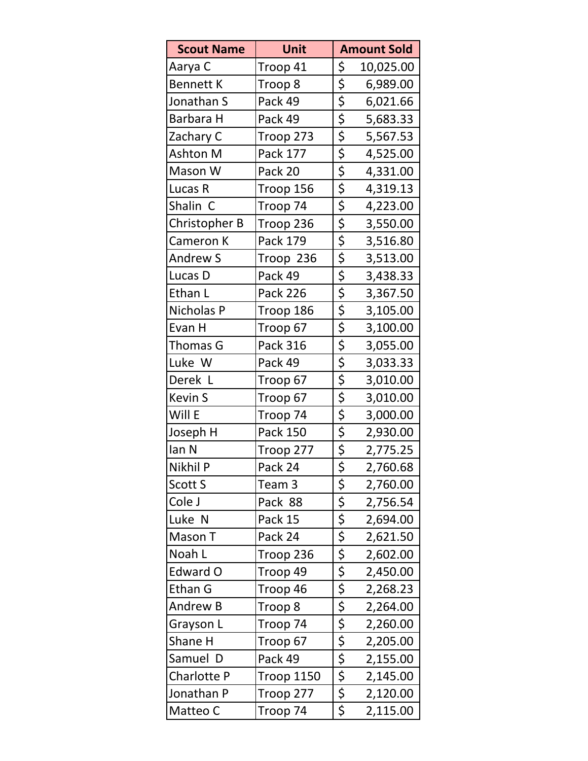| <b>Scout Name</b> | Unit              | <b>Amount Sold</b>                           |  |
|-------------------|-------------------|----------------------------------------------|--|
| Aarya C           | Troop 41          | \$<br>10,025.00                              |  |
| <b>Bennett K</b>  | Troop 8           | \$<br>6,989.00                               |  |
| Jonathan S        | Pack 49           | $\overline{\xi}$<br>6,021.66                 |  |
| Barbara H         | Pack 49           | $\overline{\xi}$<br>5,683.33                 |  |
| Zachary C         | Troop 273         | $\overline{\xi}$<br>5,567.53                 |  |
| Ashton M          | Pack 177          | \$<br>4,525.00                               |  |
| Mason W           | Pack 20           | \$<br>4,331.00                               |  |
| Lucas R           | Troop 156         | \$<br>4,319.13                               |  |
| Shalin C          | Troop 74          | $\overline{\xi}$<br>4,223.00                 |  |
| Christopher B     | Troop 236         | $\overline{\xi}$<br>3,550.00                 |  |
| Cameron K         | Pack 179          | $\overline{\xi}$<br>3,516.80                 |  |
| <b>Andrew S</b>   | Troop 236         | \$<br>3,513.00                               |  |
| Lucas D           | Pack 49           | \$<br>3,438.33                               |  |
| Ethan L           | <b>Pack 226</b>   | $\overline{\xi}$<br>3,367.50                 |  |
| Nicholas P        | Troop 186         | $\overline{\xi}$<br>3,105.00                 |  |
| Evan H            | Troop 67          | $\overline{\xi}$<br>3,100.00                 |  |
| Thomas G          | Pack 316          | $\overline{\xi}$<br>3,055.00                 |  |
| Luke W            | Pack 49           | $\overline{\xi}$<br>3,033.33                 |  |
| Derek L           | Troop 67          | $\overline{\xi}$<br>3,010.00                 |  |
| <b>Kevin S</b>    | Troop 67          | 3,010.00                                     |  |
| Will E            | Troop 74          | \$<br>\$<br>\$<br>\$<br>\$<br>\$<br>3,000.00 |  |
| Joseph H          | Pack 150          | 2,930.00                                     |  |
| lan N             | Troop 277         | 2,775.25                                     |  |
| Nikhil P          | Pack 24           | 2,760.68                                     |  |
| Scott S           | Team 3            | \$<br>2,760.00                               |  |
| Cole J            | Pack 88           | $\overline{\xi}$<br>2,756.54                 |  |
| Luke N            | Pack 15           | $\overline{\xi}$<br>2,694.00                 |  |
| Mason T           | Pack 24           | \$<br>2,621.50                               |  |
| Noah L            | Troop 236         | $\overline{\xi}$<br>2,602.00                 |  |
| Edward O          | Troop 49          | $\overline{\xi}$<br>2,450.00                 |  |
| Ethan G           | Troop 46          | $\overline{\xi}$<br>2,268.23                 |  |
| Andrew B          | Troop 8           | $\overline{\xi}$<br>2,264.00                 |  |
| Grayson L         | Troop 74          | 2,260.00                                     |  |
| Shane H           | Troop 67          | 2,205.00                                     |  |
| Samuel D          | Pack 49           | 2,155.00                                     |  |
| Charlotte P       | <b>Troop 1150</b> | \$<br>\$<br>\$<br>\$<br>\$<br>2,145.00       |  |
| Jonathan P        | Troop 277         | 2,120.00                                     |  |
| Matteo C          | Troop 74          | \$<br>2,115.00                               |  |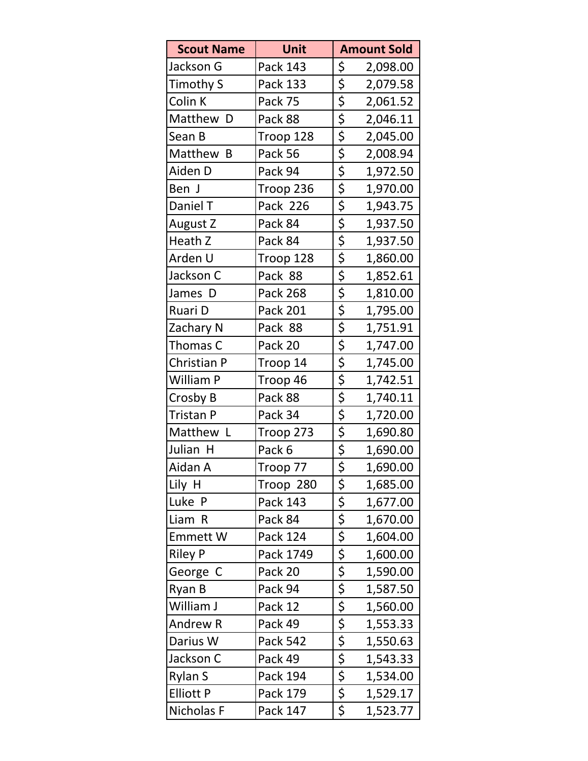| <b>Scout Name</b> | Unit            | <b>Amount Sold</b>           |  |
|-------------------|-----------------|------------------------------|--|
| Jackson G         | Pack 143        | \$<br>2,098.00               |  |
| Timothy S         | Pack 133        | \$<br>2,079.58               |  |
| Colin K           | Pack 75         | \$<br>2,061.52               |  |
| Matthew D         | Pack 88         | \$<br>2,046.11               |  |
| Sean B            | Troop 128       | \$<br>2,045.00               |  |
| Matthew B         | Pack 56         | \$<br>2,008.94               |  |
| Aiden D           | Pack 94         | \$<br>1,972.50               |  |
| Ben J             | Troop 236       | \$<br>1,970.00               |  |
| Daniel T          | <b>Pack 226</b> | \$<br>1,943.75               |  |
| August Z          | Pack 84         | \$<br>1,937.50               |  |
| Heath Z           | Pack 84         | \$<br>1,937.50               |  |
| Arden U           | Troop 128       | \$<br>1,860.00               |  |
| Jackson C         | Pack 88         | $\overline{\xi}$<br>1,852.61 |  |
| James D           | Pack 268        | $\overline{\xi}$<br>1,810.00 |  |
| Ruari D           | Pack 201        | $\overline{\xi}$<br>1,795.00 |  |
| Zachary N         | Pack 88         | \$<br>1,751.91               |  |
| Thomas C          | Pack 20         | \$<br>1,747.00               |  |
| Christian P       | Troop 14        | \$<br>1,745.00               |  |
| William P         | Troop 46        | \$<br>1,742.51               |  |
| Crosby B          | Pack 88         | \$<br>1,740.11               |  |
| Tristan P         | Pack 34         | $\overline{\xi}$<br>1,720.00 |  |
| Matthew L         | Troop 273       | $\overline{\xi}$<br>1,690.80 |  |
| Julian H          | Pack 6          | $rac{5}{5}$<br>1,690.00      |  |
| Aidan A           | Troop 77        | 1,690.00                     |  |
| Lily H            | Troop 280       | \$<br>1,685.00               |  |
| Luke P            | Pack 143        | $\frac{1}{2}$<br>1,677.00    |  |
| Liam R            | Pack 84         | $\overline{\xi}$<br>1,670.00 |  |
| <b>Emmett W</b>   | Pack 124        | $\overline{\xi}$<br>1,604.00 |  |
| <b>Riley P</b>    | Pack 1749       | \$<br>1,600.00               |  |
| George C          | Pack 20         | $\overline{\xi}$<br>1,590.00 |  |
| Ryan B            | Pack 94         | $\overline{\xi}$<br>1,587.50 |  |
| William J         | Pack 12         | $\overline{\xi}$<br>1,560.00 |  |
| Andrew R          | Pack 49         | 1,553.33                     |  |
| Darius W          | <b>Pack 542</b> | 1,550.63                     |  |
| Jackson C         | Pack 49         | $\frac{5}{5}$<br>1,543.33    |  |
| Rylan S           | Pack 194        | 1,534.00                     |  |
| <b>Elliott P</b>  | Pack 179        | $\frac{5}{5}$<br>1,529.17    |  |
| Nicholas F        | Pack 147        | \$<br>1,523.77               |  |